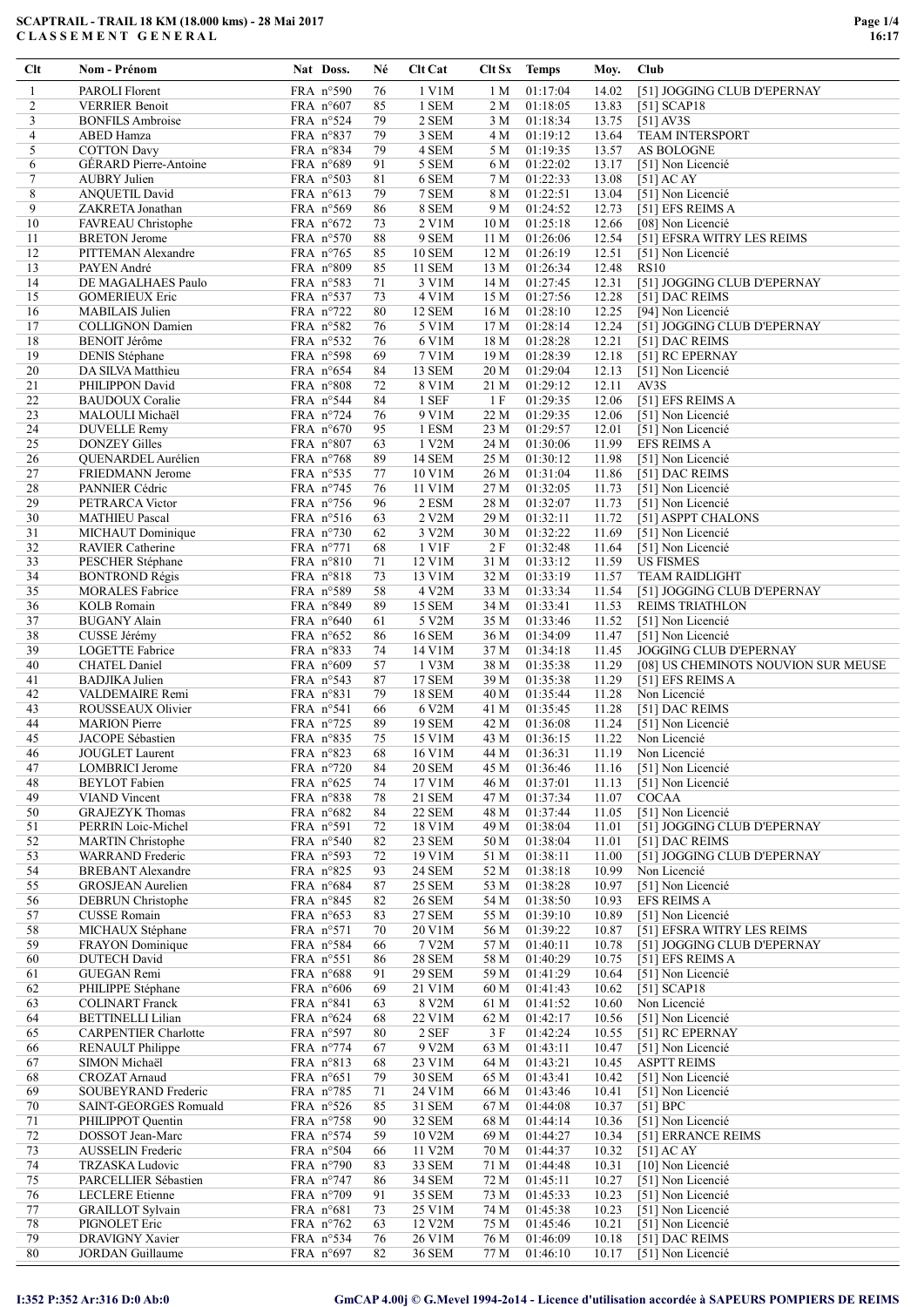| Clt      | Nom - Prénom                                 | Nat Doss.                         | Né       | <b>Clt</b> Cat          |                 | Clt Sx Temps         | Moy.           | Club                                   |
|----------|----------------------------------------------|-----------------------------------|----------|-------------------------|-----------------|----------------------|----------------|----------------------------------------|
| 1        | <b>PAROLI Florent</b>                        | FRA n°590                         | 76       | 1 V1M                   | 1 M             | 01:17:04             | 14.02          | [51] JOGGING CLUB D'EPERNAY            |
| 2        | <b>VERRIER Benoit</b>                        | FRA $n°607$                       | 85       | 1 SEM                   | 2 M             | 01:18:05             | 13.83          | [51] $SCAP18$                          |
| 3        | <b>BONFILS Ambroise</b>                      | FRA n°524                         | 79       | 2 SEM                   | 3 M             | 01:18:34             | 13.75          | $[51]$ AV3S                            |
| 4        | ABED Hamza                                   | FRA n°837                         | 79       | 3 SEM                   | 4 M             | 01:19:12             | 13.64          | <b>TEAM INTERSPORT</b>                 |
| 5        | <b>COTTON Davy</b>                           | FRA $n^{\circ}834$                | 79       | 4 SEM                   | 5 M             | 01:19:35             | 13.57          | AS BOLOGNE                             |
| 6        | <b>GÉRARD</b> Pierre-Antoine                 | FRA $n^{\circ}689$                | 91       | 5 SEM                   | 6 M             | 01:22:02             | 13.17          | [51] Non Licencié                      |
| $\tau$   | <b>AUBRY Julien</b>                          | FRA $n°503$                       | 81       | 6 SEM                   | 7 M             | 01:22:33             | 13.08          | $[51]$ AC AY                           |
| 8        | <b>ANQUETIL David</b>                        | FRA $n^{\circ}613$                | 79       | 7 SEM                   | 8 M             | 01:22:51             | 13.04          | [51] Non Licencié                      |
| 9        | ZAKRETA Jonathan                             | FRA n°569                         | 86       | 8 SEM                   | 9 M             | 01:24:52             | 12.73          | [51] EFS REIMS A                       |
| 10       | FAVREAU Christophe                           | FRA $n^{\circ}672$                | 73       | 2 V1M                   | 10 <sub>M</sub> | 01:25:18             | 12.66          | [08] Non Licencié                      |
| 11       | <b>BRETON</b> Jerome                         | FRA $n^{\circ}570$                | 88       | 9 SEM                   | 11 M            | 01:26:06             | 12.54          | [51] EFSRA WITRY LES REIMS             |
| 12       | PITTEMAN Alexandre                           | FRA $n^{\circ}765$                | 85       | <b>10 SEM</b>           | 12 M            | 01:26:19             | 12.51          | [51] Non Licencié                      |
| 13       | PAYEN André                                  | FRA $n°809$                       | 85       | 11 SEM                  | 13 M            | 01:26:34             | 12.48          | <b>RS10</b>                            |
| 14       | DE MAGALHAES Paulo                           | FRA $n^{\circ}583$                | 71       | 3 V1M                   | 14 M            | 01:27:45             | 12.31          | [51] JOGGING CLUB D'EPERNAY            |
| 15       | <b>GOMERIEUX Eric</b>                        | FRA n°537                         | 73       | 4 V1M                   | 15 M            | 01:27:56             | 12.28          | [51] DAC REIMS                         |
| 16       | <b>MABILAIS</b> Julien                       | FRA n°722                         | 80       | 12 SEM                  | 16 M            | 01:28:10             | 12.25          | [94] Non Licencié                      |
| 17       | <b>COLLIGNON Damien</b>                      | FRA $n^{\circ}582$                | 76       | 5 V1M                   | 17 M            | 01:28:14             | 12.24          | [51] JOGGING CLUB D'EPERNAY            |
| 18       | <b>BENOIT Jérôme</b>                         | FRA $n^{\circ}$ 532               | 76       | 6 V1M                   | 18 M            | 01:28:28             | 12.21          | [51] DAC REIMS                         |
| 19       | <b>DENIS Stéphane</b>                        | FRA $n°598$                       | 69       | 7 V1M                   | 19 M            | 01:28:39             | 12.18          | [51] RC EPERNAY                        |
| 20       | DA SILVA Matthieu                            | FRA $n^{\circ}654$                | 84       | 13 SEM                  | 20 M            | 01:29:04             | 12.13          | [51] Non Licencié                      |
| 21       | PHILIPPON David                              | FRA n°808                         | 72       | 8 V1M                   | 21 M            | 01:29:12             | 12.11          | AV3S                                   |
| 22       | <b>BAUDOUX</b> Coralie                       | FRA n°544                         | 84       | 1 SEF                   | 1F              | 01:29:35             | 12.06          | [51] EFS REIMS A                       |
| 23       | MALOULI Michaël                              | FRA $n^{\circ}$ 724               | 76       | 9 V1M                   | 22 M            | 01:29:35             | 12.06          | [51] Non Licencié                      |
| 24       | <b>DUVELLE Remy</b>                          | FRA $n^{\circ}670$                | 95       | 1 ESM                   | 23 M            | 01:29:57             | 12.01          | [51] Non Licencié                      |
| 25       | <b>DONZEY Gilles</b>                         | FRA $n°807$                       | 63       | 1 V2M                   | 24 M            | 01:30:06             | 11.99          | <b>EFS REIMS A</b>                     |
| 26       | QUENARDEL Aurélien                           | FRA $n^{\circ}768$                | 89       | 14 SEM                  | 25 M            | 01:30:12             | 11.98          | [51] Non Licencié                      |
| 27       | FRIEDMANN Jerome                             | FRA $n^{\circ}$ 535               | 77       | 10 V1M                  | 26 M            | 01:31:04             | 11.86          | [51] DAC REIMS                         |
| 28       | PANNIER Cédric                               | FRA $n^{\circ}$ 745               | 76       | 11 V1M                  | 27 M            | 01:32:05             | 11.73          | [51] Non Licencié                      |
| 29       | PETRARCA Victor                              | FRA $n^{\circ}$ 756               | 96       | 2 ESM                   | 28 M            | 01:32:07             | 11.73          | [51] Non Licencié                      |
| 30       | <b>MATHIEU Pascal</b>                        | FRA $n°516$                       | 63       | 2 V2M<br>3 V2M          | 29 M            | 01:32:11             | 11.72          | [51] ASPPT CHALONS                     |
| 31<br>32 | MICHAUT Dominique<br><b>RAVIER Catherine</b> | FRA $n°730$<br>FRA $n^{\circ}771$ | 62<br>68 | 1 V1F                   | 30 M<br>2F      | 01:32:22<br>01:32:48 | 11.69<br>11.64 | [51] Non Licencié<br>[51] Non Licencié |
| 33       | PESCHER Stéphane                             | FRA $n^{\circ}810$                | 71       | 12 V1M                  | 31 M            | 01:33:12             | 11.59          | <b>US FISMES</b>                       |
| 34       | <b>BONTROND Régis</b>                        | FRA n°818                         | 73       | 13 V1M                  | 32 M            | 01:33:19             | 11.57          | <b>TEAM RAIDLIGHT</b>                  |
| 35       | <b>MORALES</b> Fabrice                       | FRA $n^{\circ}589$                | 58       | 4 V2M                   | 33 M            | 01:33:34             | 11.54          | [51] JOGGING CLUB D'EPERNAY            |
| 36       | <b>KOLB</b> Romain                           | FRA $n^{\circ}849$                | 89       | 15 SEM                  | 34 M            | 01:33:41             | 11.53          | <b>REIMS TRIATHLON</b>                 |
| 37       | <b>BUGANY Alain</b>                          | FRA $n^{\circ}640$                | 61       | 5 V2M                   | 35 M            | 01:33:46             | 11.52          | [51] Non Licencié                      |
| 38       | CUSSE Jérémy                                 | FRA $n^{\circ}652$                | 86       | <b>16 SEM</b>           | 36 M            | 01:34:09             | 11.47          | [51] Non Licencié                      |
| 39       | LOGETTE Fabrice                              | FRA $n^{\circ}833$                | 74       | 14 V1M                  | 37 M            | 01:34:18             | 11.45          | <b>JOGGING CLUB D'EPERNAY</b>          |
| 40       | <b>CHATEL Daniel</b>                         | FRA $n°609$                       | 57       | 1 V3M                   | 38 M            | 01:35:38             | 11.29          | [08] US CHEMINOTS NOUVION SUR MEUSE    |
| 41       | <b>BADJIKA Julien</b>                        | FRA $n^{\circ}$ 543               | 87       | <b>17 SEM</b>           | 39 M            | 01:35:38             | 11.29          | [51] EFS REIMS A                       |
| 42       | VALDEMAIRE Remi                              | FRA n°831                         | 79       | <b>18 SEM</b>           | 40 M            | 01:35:44             | 11.28          | Non Licencié                           |
| 43       | ROUSSEAUX Olivier                            | FRA $n^{\circ}541$                | 66       | 6 V2M                   | 41 M            | 01:35:45             | 11.28          | [51] DAC REIMS                         |
| 44       | <b>MARION</b> Pierre                         | FRA $n^{\circ}$ 725               | 89       | 19 SEM                  | 42 M            | 01:36:08             | 11.24          | [51] Non Licencié                      |
| 45       | JACOPE Sébastien                             | FRA n°835                         | 75       | 15 V1M                  | 43 M            | 01:36:15             | 11.22          | Non Licencié                           |
| 46       | JOUGLET Laurent                              | FRA n°823                         | 68       | 16 V1M                  | 44 M            | 01:36:31             | 11.19          | Non Licencié                           |
| 47       | <b>LOMBRICI</b> Jerome                       | FRA n°720                         | 84       | <b>20 SEM</b>           | 45 M            | 01:36:46             | 11.16          | [51] Non Licencié                      |
| 48<br>49 | <b>BEYLOT</b> Fabien<br><b>VIAND</b> Vincent | FRA $n^{\circ}625$                | 74       | 17 V1M                  | 46 M            | 01:37:01<br>01:37:34 | 11.13<br>11.07 | [51] Non Licencié<br><b>COCAA</b>      |
| 50       | <b>GRAJEZYK Thomas</b>                       | FRA n°838<br>FRA $n^{\circ}682$   | 78<br>84 | 21 SEM<br><b>22 SEM</b> | 47 M<br>48 M    | 01:37:44             | 11.05          | [51] Non Licencié                      |
| 51       | PERRIN Loic-Michel                           | FRA n°591                         | 72       | 18 V1M                  | 49 M            | 01:38:04             | 11.01          | [51] JOGGING CLUB D'EPERNAY            |
| 52       | <b>MARTIN</b> Christophe                     | FRA $n°540$                       | 82       | 23 SEM                  | 50 M            | 01:38:04             | 11.01          | [51] DAC REIMS                         |
| 53       | <b>WARRAND</b> Frederic                      | FRA n°593                         | 72       | 19 V1M                  | 51 M            | 01:38:11             | 11.00          | [51] JOGGING CLUB D'EPERNAY            |
| 54       | <b>BREBANT</b> Alexandre                     | FRA $n^{\circ}825$                | 93       | <b>24 SEM</b>           | 52 M            | 01:38:18             | 10.99          | Non Licencié                           |
| 55       | <b>GROSJEAN</b> Aurelien                     | FRA n°684                         | 87       | <b>25 SEM</b>           | 53 M            | 01:38:28             | 10.97          | [51] Non Licencié                      |
| 56       | DEBRUN Christophe                            | FRA $n^{\circ}845$                | 82       | <b>26 SEM</b>           | 54 M            | 01:38:50             | 10.93          | <b>EFS REIMS A</b>                     |
| 57       | <b>CUSSE Romain</b>                          | FRA $n^{\circ}653$                | 83       | <b>27 SEM</b>           | 55 M            | 01:39:10             | 10.89          | [51] Non Licencié                      |
| 58       | MICHAUX Stéphane                             | FRA $n°571$                       | 70       | 20 V1M                  | 56 M            | 01:39:22             | 10.87          | [51] EFSRA WITRY LES REIMS             |
| 59       | FRAYON Dominique                             | FRA n°584                         | 66       | 7 V2M                   | 57 M            | 01:40:11             | 10.78          | [51] JOGGING CLUB D'EPERNAY            |
| 60       | <b>DUTECH</b> David                          | FRA n°551                         | 86       | <b>28 SEM</b>           | 58 M            | 01:40:29             | 10.75          | [51] EFS REIMS A                       |
| 61       | GUEGAN Remi                                  | FRA n°688                         | 91       | <b>29 SEM</b>           | 59 M            | 01:41:29             | 10.64          | [51] Non Licencié                      |
| 62       | PHILIPPE Stéphane                            | FRA $n°606$                       | 69       | 21 V1M                  | 60 M            | 01:41:43             | 10.62          | [51] $SCAP18$                          |
| 63       | <b>COLINART</b> Franck                       | FRA $n^{\circ}841$                | 63       | 8 V2M                   | 61 M            | 01:41:52             | 10.60          | Non Licencié                           |
| 64       | <b>BETTINELLI Lilian</b>                     | FRA $n^{\circ}624$                | 68       | 22 V1M                  | 62 M            | 01:42:17             | 10.56          | [51] Non Licencié                      |
| 65       | <b>CARPENTIER Charlotte</b>                  | FRA $n°597$                       | 80       | $2$ SEF                 | 3 F             | 01:42:24             | 10.55          | [51] RC EPERNAY                        |
| 66       | <b>RENAULT Philippe</b>                      | FRA n°774                         | 67       | 9 V2M                   | 63 M            | 01:43:11             | 10.47          | [51] Non Licencié                      |
| 67       | SIMON Michaël                                | FRA $n^{\circ}813$                | 68       | 23 V1M                  | 64 M            | 01:43:21             | 10.45          | <b>ASPTT REIMS</b>                     |
| 68       | CROZAT Arnaud                                | FRA $n^{\circ}651$                | 79       | 30 SEM                  | 65 M            | 01:43:41             | 10.42          | [51] Non Licencié                      |
| 69       | SOUBEYRAND Frederic                          | FRA $n°785$                       | 71       | 24 V1M                  | 66 M            | 01:43:46             | 10.41          | [51] Non Licencié                      |
| 70       | SAINT-GEORGES Romuald                        | FRA $n^{\circ}526$                | 85       | 31 SEM                  | 67 M            | 01:44:08             | 10.37          | [51] BPC                               |
| 71       | PHILIPPOT Quentin                            | FRA n°758                         | 90       | 32 SEM                  | 68 M            | 01:44:14             | 10.36          | [51] Non Licencié                      |
| 72<br>73 | DOSSOT Jean-Marc<br><b>AUSSELIN</b> Frederic | FRA n°574<br>FRA n°504            | 59<br>66 | 10 V2M<br>11 V2M        | 69 M<br>70 M    | 01:44:27<br>01:44:37 | 10.34<br>10.32 | [51] ERRANCE REIMS<br>$[51]$ AC AY     |
| 74       | TRZASKA Ludovic                              | FRA $n°790$                       | 83       | 33 SEM                  | 71 M            | 01:44:48             | 10.31          | [10] Non Licencié                      |
| 75       | PARCELLIER Sébastien                         | FRA $n^{\circ}$ 747               | 86       | 34 SEM                  | 72 M            | 01:45:11             | 10.27          | [51] Non Licencié                      |
| 76       | <b>LECLERE</b> Etienne                       | FRA n°709                         | 91       | 35 SEM                  | 73 M            | 01:45:33             | 10.23          | [51] Non Licencié                      |
| 77       | <b>GRAILLOT</b> Sylvain                      | FRA $n^{\circ}681$                | 73       | 25 V1M                  | 74 M            | 01:45:38             | 10.23          | [51] Non Licencié                      |
| 78       | PIGNOLET Eric                                | FRA n°762                         | 63       | 12 V2M                  | 75 M            | 01:45:46             | 10.21          | [51] Non Licencié                      |
| 79       | DRAVIGNY Xavier                              | FRA n°534                         | 76       | 26 V1M                  | 76 M            | 01:46:09             | 10.18          | [51] DAC REIMS                         |
| 80       | <b>JORDAN</b> Guillaume                      | FRA $n°697$                       | 82       | 36 SEM                  | 77 M            | 01:46:10             | 10.17          | [51] Non Licencié                      |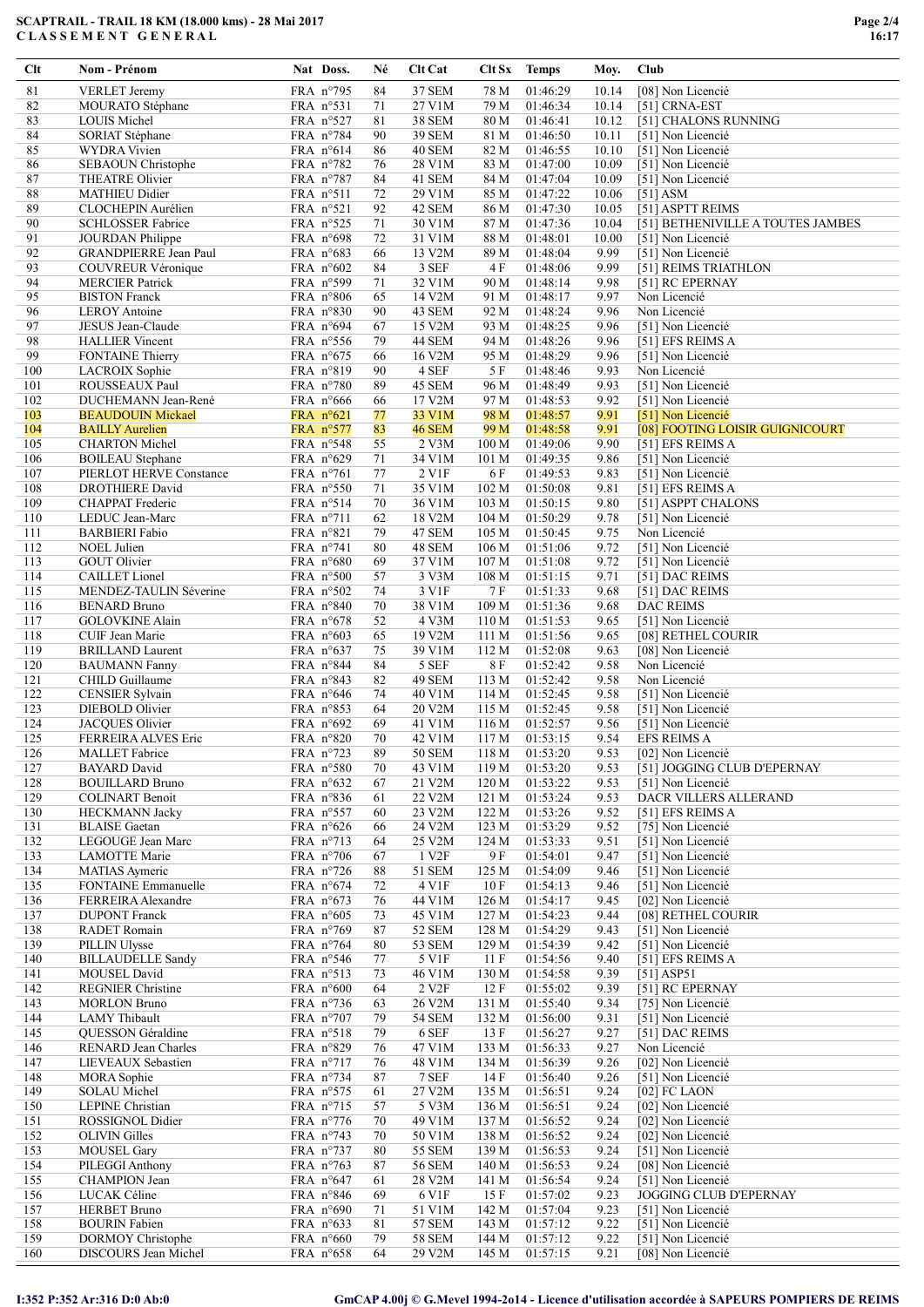| Clt        | Nom - Prénom                                     | Nat Doss.                                | Né       | Clt Cat           |                  | Clt Sx Temps         | Moy.         | Club                                   |
|------------|--------------------------------------------------|------------------------------------------|----------|-------------------|------------------|----------------------|--------------|----------------------------------------|
| 81         | <b>VERLET</b> Jeremy                             | FRA n°795                                | 84       | 37 SEM            | 78 M             | 01:46:29             | 10.14        | [08] Non Licencié                      |
| 82         | MOURATO Stéphane                                 | FRA $n^{\circ}531$                       | 71       | 27 V1M            | 79 M             | 01:46:34             | 10.14        | [51] CRNA-EST                          |
| 83         | <b>LOUIS Michel</b>                              | FRA n°527                                | 81       | <b>38 SEM</b>     | 80 M             | 01:46:41             | 10.12        | [51] CHALONS RUNNING                   |
| 84         | SORIAT Stéphane                                  | FRA n°784                                | 90       | 39 SEM            | 81 M             | 01:46:50             | 10.11        | [51] Non Licencié                      |
| 85         | <b>WYDRA</b> Vivien                              | FRA $n^{\circ}614$                       | 86       | 40 SEM            | 82 M             | 01:46:55             | 10.10        | [51] Non Licencié                      |
| 86         | SEBAOUN Christophe                               | FRA $n^{\circ}782$                       | 76       | 28 V1M            | 83 M             | 01:47:00             | 10.09        | [51] Non Licencié                      |
| 87         | <b>THEATRE Olivier</b>                           | FRA $n^{\circ}787$                       | 84       | 41 SEM            | 84 M             | 01:47:04             | 10.09        | [51] Non Licencié                      |
| 88         | <b>MATHIEU Didier</b>                            | FRA $n^{\circ}511$                       | 72       | 29 V1M            | 85 M             | 01:47:22             | 10.06        | $[51]$ ASM                             |
| 89         | CLOCHEPIN Aurélien                               | FRA $n^{\circ}521$                       | 92       | 42 SEM            | 86 M             | 01:47:30             | 10.05        | [51] ASPTT REIMS                       |
| 90         | <b>SCHLOSSER Fabrice</b>                         | FRA $n^{\circ}525$                       | 71       | 30 V1M            | 87 M             | 01:47:36             | 10.04        | [51] BETHENIVILLE A TOUTES JAMBES      |
| 91         | <b>JOURDAN</b> Philippe                          | FRA $n°698$                              | 72       | 31 V1M            | 88 M             | 01:48:01             | 10.00        | [51] Non Licencié                      |
| 92         | <b>GRANDPIERRE Jean Paul</b>                     | FRA $n^{\circ}683$                       | 66       | 13 V2M            | 89 M             | 01:48:04             | 9.99         | [51] Non Licencié                      |
| 93         | COUVREUR Véronique                               | FRA $n^{\circ}602$                       | 84       | 3 SEF             | 4F               | 01:48:06             | 9.99         | [51] REIMS TRIATHLON                   |
| 94         | <b>MERCIER Patrick</b>                           | FRA $n^{\circ}599$                       | 71       | 32 V1M            | 90 M             | 01:48:14             | 9.98         | [51] RC EPERNAY                        |
| 95         | <b>BISTON</b> Franck                             | FRA $n^{\circ}806$                       | 65       | 14 V2M            | 91 M             | 01:48:17             | 9.97         | Non Licencié                           |
| 96         | <b>LEROY</b> Antoine                             | FRA $n°830$                              | 90       | 43 SEM            | 92 M             | 01:48:24             | 9.96         | Non Licencié                           |
| 97         | JESUS Jean-Claude                                | FRA $n^{\circ}694$                       | 67       | 15 V2M            | 93 M             | 01:48:25             | 9.96         | [51] Non Licencié                      |
| 98         | <b>HALLIER</b> Vincent                           | FRA $n^{\circ}$ 556                      | 79       | 44 SEM            | 94 M             | 01:48:26             | 9.96         | [51] EFS REIMS A                       |
| 99         | <b>FONTAINE Thierry</b>                          | FRA $n^{\circ}675$                       | 66       | 16 V2M            | 95 M             | 01:48:29             | 9.96         | [51] Non Licencié                      |
| 100        | LACROIX Sophie                                   | FRA n°819                                | 90       | 4 SEF             | 5 F              | 01:48:46             | 9.93         | Non Licencié                           |
| 101        | ROUSSEAUX Paul                                   | FRA n°780                                | 89       | 45 SEM            | 96 M             | 01:48:49             | 9.93         | [51] Non Licencié                      |
| 102        | DUCHEMANN Jean-René                              | FRA $n^{\circ}666$                       | 66       | 17 V2M            | 97 M             | 01:48:53             | 9.92         | [51] Non Licencié                      |
| 103        | <b>BEAUDOUIN Mickael</b>                         | FRA n°621                                | 77       | 33 V1M            | 98 M             | 01:48:57             | 9.91         | [51] Non Licencié                      |
| 104        | <b>BAILLY Aurelien</b>                           | $FRA$ n°577                              | 83       | 46 SEM            | 99 M             | 01:48:58             | 9.91         | [08] FOOTING LOISIR GUIGNICOURT        |
| 105        | <b>CHARTON</b> Michel                            | FRA n°548                                | 55       | 2 V3M             | 100 M            | 01:49:06             | 9.90         | [51] EFS REIMS A                       |
| 106        | <b>BOILEAU</b> Stephane                          | FRA $n^{\circ}629$                       | 71       | 34 V1M            | 101 M            | 01:49:35             | 9.86         | [51] Non Licencié                      |
| 107        | PIERLOT HERVE Constance                          | FRA $n^{\circ}761$                       | 77       | 2 V1F             | 6 F              | 01:49:53             | 9.83         | [51] Non Licencié                      |
| 108        | <b>DROTHIERE</b> David                           | FRA $n^{\circ}550$                       | 71       | 35 V1M            | 102 M            | 01:50:08             | 9.81         | [51] EFS REIMS A                       |
| 109        | CHAPPAT Frederic                                 | FRA $n^{\circ}514$                       | 70       | 36 V1M            | 103 M            | 01:50:15             | 9.80         | [51] ASPPT CHALONS                     |
| 110        | LEDUC Jean-Marc                                  | FRA $n^{\circ}711$                       | 62       | 18 V2M            | 104 M            | 01:50:29             | 9.78         | [51] Non Licencié                      |
| 111        | <b>BARBIERI</b> Fabio                            | FRA $n^{\circ}821$                       | 79       | 47 SEM            | 105 M            | 01:50:45             | 9.75         | Non Licencié                           |
| 112        | NOEL Julien                                      | FRA $n^{\circ}741$                       | 80       | 48 SEM            | 106 M            | 01:51:06             | 9.72         | [51] Non Licencié                      |
| 113        | <b>GOUT Olivier</b>                              | FRA $n^{\circ}680$                       | 69       | 37 V1M            | 107 <sub>M</sub> | 01:51:08             | 9.72         | [51] Non Licencié                      |
| 114        | CAILLET Lionel                                   | FRA $n°500$                              | 57       | 3 V3M             | 108 <sub>M</sub> | 01:51:15             | 9.71         | [51] DAC REIMS                         |
| 115        | MENDEZ-TAULIN Séverine                           | FRA $n^{\circ}502$                       | 74       | 3 V1F             | 7F               | 01:51:33             | 9.68         | [51] DAC REIMS                         |
| 116        | <b>BENARD Bruno</b>                              | FRA $n^{\circ}840$                       | 70       | 38 V1M            | 109 M            | 01:51:36             | 9.68         | <b>DAC REIMS</b>                       |
| 117        | GOLOVKINE Alain                                  | FRA $n^{\circ}678$                       | 52       | 4 V3M             | 110 M            | 01:51:53             | 9.65         | [51] Non Licencié                      |
| 118        | CUIF Jean Marie                                  | FRA $n^{\circ}603$                       | 65       | 19 V2M            | 111 M            | 01:51:56             | 9.65         | [08] RETHEL COURIR                     |
| 119        | <b>BRILLAND Laurent</b>                          | FRA $n^{\circ}637$                       | 75       | 39 V1M            | 112 M            | 01:52:08             | 9.63         | [08] Non Licencié                      |
| 120        | <b>BAUMANN Fanny</b>                             | FRA n°844                                | 84       | 5 SEF             | 8F               | 01:52:42             | 9.58         | Non Licencié                           |
| 121        | CHILD Guillaume                                  | FRA n°843                                | 82       | 49 SEM            | 113 M            | 01:52:42             | 9.58         | Non Licencié                           |
| 122        | <b>CENSIER Sylvain</b>                           | FRA $n^{\circ}646$                       | 74       | 40 V1M            | 114 M            | 01:52:45             | 9.58         | [51] Non Licencié                      |
| 123        | DIEBOLD Olivier                                  | FRA n°853                                | 64       | 20 V2M            | 115 M            | 01:52:45             | 9.58         | [51] Non Licencié                      |
| 124        | JACQUES Olivier                                  | FRA $n°692$                              | 69       | 41 V1M            | 116 M            | 01:52:57             | 9.56         | [51] Non Licencié                      |
| 125        | <b>FERREIRA ALVES Eric</b>                       | FRA $n°820$                              | 70       | 42 V1M            | 117 M            | 01:53:15             | 9.54         | <b>EFS REIMS A</b>                     |
| 126        | <b>MALLET</b> Fabrice                            | FRA n°723                                | 89       | 50 SEM            | 118 M            | 01:53:20             | 9.53         | [02] Non Licencié                      |
| 127        | <b>BAYARD</b> David                              | FRA n°580                                | 70       | 43 V1M            | 119 M            | 01:53:20             | 9.53         | [51] JOGGING CLUB D'EPERNAY            |
| 128        | <b>BOUILLARD Bruno</b>                           | FRA n°632                                | 67       | 21 V2M            | 120 M            | 01:53:22             | 9.53         | [51] Non Licencié                      |
| 129        | <b>COLINART Benoit</b>                           | FRA n°836                                | 61       | 22 V2M            | 121 M            | 01:53:24             | 9.53         | DACR VILLERS ALLERAND                  |
| 130        | <b>HECKMANN Jacky</b>                            | FRA n°557                                | 60       | 23 V2M            | 122 M            | 01:53:26             | 9.52         | [51] EFS REIMS A                       |
| 131        | <b>BLAISE</b> Gaetan                             | FRA $n^{\circ}626$                       | 66       | 24 V2M            | 123 M            | 01:53:29             | 9.52         | [75] Non Licencié                      |
| 132        | LEGOUGE Jean Marc                                | FRA n°713                                | 64       | 25 V2M            | 124 M            | 01:53:33             | 9.51         | [51] Non Licencié<br>[51] Non Licencié |
| 133        | LAMOTTE Marie                                    | FRA $n°706$                              | 67       | 1 V2F             | 9 F              | 01:54:01             | 9.47         |                                        |
| 134        | <b>MATIAS</b> Aymeric                            | FRA n°726                                | 88       | 51 SEM            | 125 M            | 01:54:09             | 9.46         | [51] Non Licencié                      |
| 135<br>136 | <b>FONTAINE Emmanuelle</b><br>FERREIRA Alexandre | FRA $n^{\circ}674$<br>FRA $n^{\circ}673$ | 72<br>76 | 4 V1F<br>44 V1M   | 10F<br>126 M     | 01:54:13<br>01:54:17 | 9.46<br>9.45 | [51] Non Licencié<br>[02] Non Licencié |
| 137        | <b>DUPONT</b> Franck                             | FRA $n^{\circ}605$                       | 73       | 45 V1M            | 127 M            | 01:54:23             | 9.44         | [08] RETHEL COURIR                     |
| 138        | <b>RADET</b> Romain                              | FRA $n°769$                              | 87       | 52 SEM            | 128 M            | 01:54:29             | 9.43         | [51] Non Licencié                      |
| 139        | PILLIN Ulysse                                    | FRA $n°764$                              | 80       | 53 SEM            | 129 M            | 01:54:39             | 9.42         | [51] Non Licencié                      |
| 140        | <b>BILLAUDELLE Sandy</b>                         | FRA $n^{\circ}546$                       | 77       | 5 V1F             | 11F              | 01:54:56             | 9.40         | [51] EFS REIMS A                       |
| 141        | MOUSEL David                                     | FRA $n°513$                              | 73       | 46 V1M            | 130 M            | 01:54:58             | 9.39         | $[51]$ ASP51                           |
| 142        | <b>REGNIER Christine</b>                         | FRA $n°600$                              | 64       | $2\ \mathrm{V2F}$ | 12F              | 01:55:02             | 9.39         | [51] RC EPERNAY                        |
| 143        | <b>MORLON Bruno</b>                              | FRA $n^{\circ}$ 736                      | 63       | 26 V2M            | 131 M            | 01:55:40             | 9.34         | [75] Non Licencié                      |
| 144        | LAMY Thibault                                    | FRA $n°707$                              | 79       | 54 SEM            | 132 M            | 01:56:00             | 9.31         | [51] Non Licencié                      |
| 145        | QUESSON Géraldine                                | FRA $n°518$                              | 79       | 6 SEF             | 13F              | 01:56:27             | 9.27         | [51] DAC REIMS                         |
| 146        | RENARD Jean Charles                              | FRA n°829                                | 76       | 47 V1M            | 133 M            | 01:56:33             | 9.27         | Non Licencié                           |
| 147        | LIEVEAUX Sebastien                               | FRA $n^{\circ}717$                       | 76       | 48 V1M            | 134 M            | 01:56:39             | 9.26         | [02] Non Licencié                      |
| 148        | MORA Sophie                                      | FRA $n^{\circ}$ 734                      | 87       | $7\,\mathrm{SEF}$ | 14 F             | 01:56:40             | 9.26         | [51] Non Licencié                      |
| 149        | <b>SOLAU</b> Michel                              | FRA $n^{\circ}575$                       | 61       | 27 V2M            | 135 M            | 01:56:51             | 9.24         | [02] FC LAON                           |
| 150        | LEPINE Christian                                 | FRA $n^{\circ}$ 715                      | 57       | 5 V3M             | 136 M            | 01:56:51             | 9.24         | [02] Non Licencié                      |
| 151        | ROSSIGNOL Didier                                 | FRA n°776                                | 70       | 49 V1M            | 137 M            | 01:56:52             | 9.24         | [02] Non Licencié                      |
| 152        | <b>OLIVIN Gilles</b>                             | FRA $n^{\circ}$ 743                      | 70       | 50 V1M            | 138 M            | 01:56:52             | 9.24         | [02] Non Licencié                      |
| 153        | <b>MOUSEL Gary</b>                               | FRA n°737                                | 80       | 55 SEM            | 139 M            | 01:56:53             | 9.24         | [51] Non Licencié                      |
| 154        | PILEGGI Anthony                                  | FRA $n^{\circ}$ 763                      | 87       | <b>56 SEM</b>     | 140 M            | 01:56:53             | 9.24         | [08] Non Licencié                      |
| 155        | <b>CHAMPION</b> Jean                             | FRA $n^{\circ}647$                       | 61       | 28 V2M            | 141 M            | 01:56:54             | 9.24         | [51] Non Licencié                      |
| 156        | LUCAK Céline                                     | FRA $n^{\circ}846$                       | 69       | 6 V1F             | 15F              | 01:57:02             | 9.23         | JOGGING CLUB D'EPERNAY                 |
| 157        | <b>HERBET Bruno</b>                              | FRA $n^{\circ}690$                       | 71       | 51 V1M            | 142 M            | 01:57:04             | 9.23         | [51] Non Licencié                      |
| 158        | <b>BOURIN</b> Fabien                             | FRA $n^{\circ}633$                       | 81       | 57 SEM            | 143 M            | 01:57:12             | 9.22         | [51] Non Licencié                      |
| 159        | DORMOY Christophe                                | FRA $n^{\circ}660$                       | 79       | <b>58 SEM</b>     | 144 M            | 01:57:12             | 9.22         | [51] Non Licencié                      |
| 160        | DISCOURS Jean Michel                             | FRA $n^{\circ}658$                       | 64       | 29 V2M            | 145 M            | 01:57:15             | 9.21         | [08] Non Licencié                      |

# I:352 P:352 Ar:316 D:0 Ab:0 GmCAP 4.00j © G.Mevel 1994-2o14 - Licence d'utilisation accordée à SAPEURS POMPIERS DE REIMS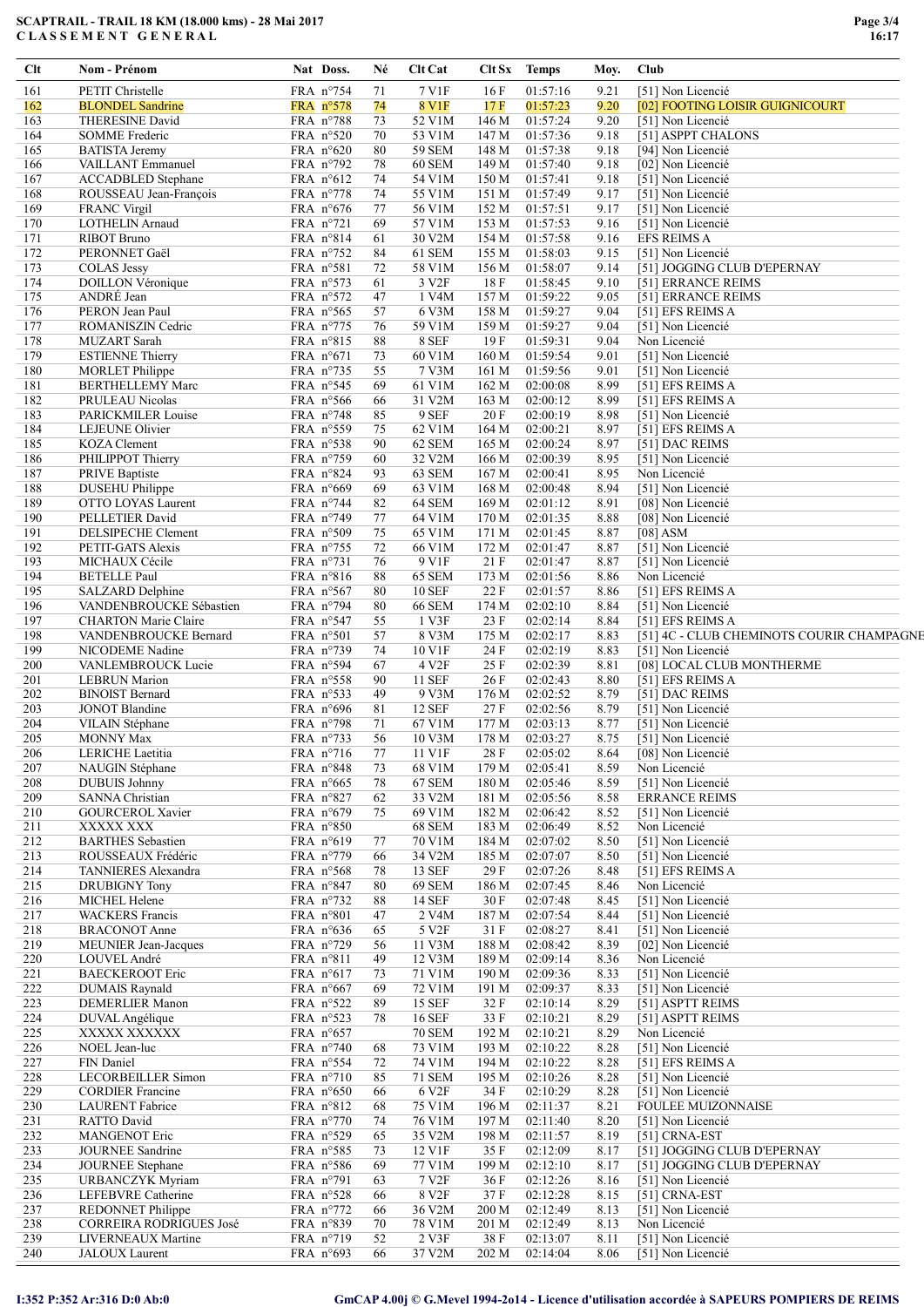| Clt        | Nom - Prénom                                      | Nat Doss.                                 | Né       | Clt Cat                        | Clt Sx Temps     |                      | Moy.         | Club                                      |
|------------|---------------------------------------------------|-------------------------------------------|----------|--------------------------------|------------------|----------------------|--------------|-------------------------------------------|
| 161        | <b>PETIT Christelle</b>                           | FRA n°754                                 | 71       | 7 V1F                          | 16F              | 01:57:16             | 9.21         | [51] Non Licencié                         |
| 162        | <b>BLONDEL Sandrine</b>                           | FRA n°578                                 | 74       | 8 V1F                          | 17 F             | 01:57:23             | 9.20         | [02] FOOTING LOISIR GUIGNICOURT           |
| 163        | <b>THERESINE David</b>                            | FRA n°788                                 | 73       | 52 V1M                         | 146 M            | 01:57:24             | 9.20         | [51] Non Licencié                         |
| 164        | <b>SOMME</b> Frederic                             | FRA $n^{\circ}520$                        | 70       | 53 V1M                         | 147 M            | 01:57:36             | 9.18         | [51] ASPPT CHALONS                        |
| 165<br>166 | <b>BATISTA Jeremy</b><br>VAILLANT Emmanuel        | FRA $n^{\circ}620$                        | 80       | <b>59 SEM</b><br>60 SEM        | 148 M            | 01:57:38<br>01:57:40 | 9.18<br>9.18 | [94] Non Licencié                         |
| 167        | <b>ACCADBLED</b> Stephane                         | FRA $n°792$<br>FRA $n^{\circ}612$         | 78<br>74 | 54 V1M                         | 149 M<br>150 M   | 01:57:41             | 9.18         | [02] Non Licencié<br>[51] Non Licencié    |
| 168        | ROUSSEAU Jean-François                            | FRA $n^{\circ}778$                        | 74       | 55 V1M                         | 151 M            | 01:57:49             | 9.17         | [51] Non Licencié                         |
| 169        | <b>FRANC Virgil</b>                               | FRA $n^{\circ}676$                        | 77       | 56 V1M                         | 152 M            | 01:57:51             | 9.17         | [51] Non Licencié                         |
| 170        | <b>LOTHELIN Arnaud</b>                            | FRA $n^{\circ}721$                        | 69       | 57 V1M                         | 153 M            | 01:57:53             | 9.16         | [51] Non Licencié                         |
| 171        | <b>RIBOT Bruno</b>                                | FRA n°814                                 | 61       | 30 V2M                         | 154 M            | 01:57:58             | 9.16         | <b>EFS REIMS A</b>                        |
| 172        | PERONNET Gaël                                     | FRA $n^{\circ}$ 752                       | 84       | 61 SEM                         | 155 M            | 01:58:03             | 9.15         | [51] Non Licencié                         |
| 173        | <b>COLAS Jessy</b>                                | FRA n°581                                 | 72       | 58 V1M                         | 156 M            | 01:58:07             | 9.14         | [51] JOGGING CLUB D'EPERNAY               |
| 174        | <b>DOILLON Véronique</b>                          | FRA $n^{\circ}573$                        | 61       | 3 V2F                          | 18 F             | 01:58:45             | 9.10         | [51] ERRANCE REIMS                        |
| 175        | ANDRÉ Jean                                        | FRA n°572                                 | 47       | 1 V4M                          | 157 M            | 01:59:22             | 9.05         | [51] ERRANCE REIMS                        |
| 176        | PERON Jean Paul                                   | FRA $n^{\circ}565$                        | 57       | 6 V3M                          | 158 M            | 01:59:27             | 9.04         | [51] EFS REIMS A                          |
| 177        | ROMANISZIN Cedric                                 | FRA $n^{\circ}775$                        | 76       | 59 V1M                         | 159 M            | 01:59:27             | 9.04         | [51] Non Licencié                         |
| 178<br>179 | <b>MUZART</b> Sarah                               | FRA n°815                                 | 88<br>73 | 8 SEF<br>60 V1M                | 19F              | 01:59:31<br>01:59:54 | 9.04<br>9.01 | Non Licencié<br>[51] Non Licencié         |
| 180        | <b>ESTIENNE Thierry</b><br><b>MORLET</b> Philippe | FRA $n^{\circ}671$<br>FRA $n^{\circ}$ 735 | 55       | 7 V3M                          | 160 M<br>161 M   | 01:59:56             | 9.01         | [51] Non Licencié                         |
| 181        | <b>BERTHELLEMY Marc</b>                           | FRA n°545                                 | 69       | 61 V1M                         | 162 M            | 02:00:08             | 8.99         | [51] EFS REIMS A                          |
| 182        | PRULEAU Nicolas                                   | FRA $n°566$                               | 66       | 31 V2M                         | 163 M            | 02:00:12             | 8.99         | [51] EFS REIMS A                          |
| 183        | PARICKMILER Louise                                | FRA $n^{\circ}748$                        | 85       | 9 SEF                          | 20F              | 02:00:19             | 8.98         | [51] Non Licencié                         |
| 184        | LEJEUNE Olivier                                   | FRA $n^{\circ}$ 559                       | 75       | 62 V1M                         | 164 M            | 02:00:21             | 8.97         | [51] EFS REIMS A                          |
| 185        | KOZA Clement                                      | FRA $n^{\circ}$ 538                       | 90       | 62 SEM                         | 165 M            | 02:00:24             | 8.97         | [51] DAC REIMS                            |
| 186        | PHILIPPOT Thierry                                 | FRA $n^{\circ}$ 759                       | 60       | 32 V2M                         | 166 M            | 02:00:39             | 8.95         | [51] Non Licencié                         |
| 187        | PRIVE Baptiste                                    | FRA $n^{\circ}824$                        | 93       | 63 SEM                         | 167 <sub>M</sub> | 02:00:41             | 8.95         | Non Licencié                              |
| 188        | <b>DUSEHU Philippe</b>                            | FRA n°669                                 | 69       | 63 V1M                         | 168 M            | 02:00:48             | 8.94         | [51] Non Licencié                         |
| 189        | OTTO LOYAS Laurent                                | FRA $n^{\circ}$ 744                       | 82       | 64 SEM                         | 169 M            | 02:01:12             | 8.91         | [08] Non Licencié                         |
| 190        | PELLETIER David                                   | FRA $n^{\circ}$ 749                       | 77       | 64 V1M                         | 170 M            | 02:01:35             | 8.88         | [08] Non Licencié                         |
| 191        | DELSIPECHE Clement                                | FRA n°509                                 | 75       | 65 V1M                         | 171 M            | 02:01:45             | 8.87         | $[08]$ ASM                                |
| 192        | PETIT-GATS Alexis                                 | FRA $n^{\circ}$ 755                       | 72       | 66 V1M                         | 172 M            | 02:01:47             | 8.87         | [51] Non Licencié                         |
| 193        | MICHAUX Cécile                                    | FRA $n^{\circ}$ 731                       | 76       | 9 V1F                          | 21F              | 02:01:47             | 8.87         | [51] Non Licencié                         |
| 194        | <b>BETELLE Paul</b>                               | FRA n°816                                 | 88       | 65 SEM                         | 173 M            | 02:01:56             | 8.86         | Non Licencié                              |
| 195<br>196 | SALZARD Delphine<br>VANDENBROUCKE Sébastien       | FRA $n^{\circ}567$<br>FRA $n^{\circ}$ 794 | 80<br>80 | <b>10 SEF</b><br><b>66 SEM</b> | 22 F<br>174 M    | 02:01:57<br>02:02:10 | 8.86<br>8.84 | [51] EFS REIMS A<br>[51] Non Licencié     |
| 197        | <b>CHARTON Marie Claire</b>                       | FRA n°547                                 | 55       | 1 V3F                          | 23 F             | 02:02:14             | 8.84         | [51] EFS REIMS A                          |
| 198        | VANDENBROUCKE Bernard                             | FRA $n°501$                               | 57       | 8 V3M                          | 175 M            | 02:02:17             | 8.83         | [51] 4C - CLUB CHEMINOTS COURIR CHAMPAGNE |
| 199        | NICODEME Nadine                                   | FRA $n^{\circ}$ 739                       | 74       | 10 V1F                         | 24 F             | 02:02:19             | 8.83         | [51] Non Licencié                         |
| 200        | VANLEMBROUCK Lucie                                | FRA n°594                                 | 67       | 4 V <sub>2F</sub>              | 25 F             | 02:02:39             | 8.81         | [08] LOCAL CLUB MONTHERME                 |
| 201        | <b>LEBRUN Marion</b>                              | FRA n°558                                 | 90       | <b>11 SEF</b>                  | 26 F             | 02:02:43             | 8.80         | [51] EFS REIMS A                          |
| 202        | <b>BINOIST Bernard</b>                            | FRA $n^{\circ}$ 533                       | 49       | 9 V3M                          | 176 M            | 02:02:52             | 8.79         | [51] DAC REIMS                            |
| 203        | <b>JONOT Blandine</b>                             | FRA $n^{\circ}696$                        | 81       | <b>12 SEF</b>                  | 27F              | 02:02:56             | 8.79         | [51] Non Licencié                         |
| 204        | VILAIN Stéphane                                   | FRA n°798                                 | 71       | 67 V1M                         | 177 M            | 02:03:13             | 8.77         | [51] Non Licencié                         |
| 205        | <b>MONNY Max</b>                                  | FRA $n°733$                               | 56       | 10 V3M                         | 178 M            | 02:03:27             | 8.75         | [51] Non Licencié                         |
| 206        | LERICHE Laetitia                                  | FRA $n^{\circ}716$                        | 77       | 11 V1F                         | 28 F             | 02:05:02             | 8.64         | [08] Non Licencié                         |
| 207        | NAUGIN Stéphane                                   | FRA n°848                                 | 73       | 68 V1M                         | 179 M            | 02:05:41             | 8.59         | Non Licencié                              |
| 208        | <b>DUBUIS Johnny</b>                              | FRA n°665                                 | 78       | 67 SEM                         | 180 M            | 02:05:46             | 8.59         | [51] Non Licencié                         |
| 209        | <b>SANNA Christian</b>                            | FRA n°827                                 | 62       | 33 V2M                         | 181 M            | 02:05:56             | 8.58         | <b>ERRANCE REIMS</b>                      |
| 210<br>211 | <b>GOURCEROL Xavier</b><br>XXXXX XXX              | FRA $n^{\circ}679$<br>FRA n°850           | 75       | 69 V1M<br><b>68 SEM</b>        | 182 M<br>183 M   | 02:06:42<br>02:06:49 | 8.52<br>8.52 | [51] Non Licencié<br>Non Licencié         |
| 212        | <b>BARTHES</b> Sebastien                          | FRA n°619                                 | 77       | 70 V1M                         | 184 M            | 02:07:02             | 8.50         | [51] Non Licencié                         |
| 213        | ROUSSEAUX Frédéric                                | FRA n°779                                 | 66       | 34 V2M                         | 185 M            | 02:07:07             | 8.50         | [51] Non Licencié                         |
| 214        | TANNIERES Alexandra                               | FRA n°568                                 | 78       | 13 SEF                         | 29 F             | 02:07:26             | 8.48         | [51] EFS REIMS A                          |
| 215        | <b>DRUBIGNY Tony</b>                              | FRA $n^{\circ}847$                        | 80       | 69 SEM                         | 186 M            | 02:07:45             | 8.46         | Non Licencié                              |
| 216        | MICHEL Helene                                     | FRA $n^{\circ}$ 732                       | 88       | 14 SEF                         | 30 F             | 02:07:48             | 8.45         | [51] Non Licencié                         |
| 217        | <b>WACKERS</b> Francis                            | FRA n°801                                 | 47       | 2 V4M                          | 187 M            | 02:07:54             | 8.44         | [51] Non Licencié                         |
| 218        | <b>BRACONOT Anne</b>                              | FRA $n^{\circ}636$                        | 65       | 5 V2F                          | 31 F             | 02:08:27             | 8.41         | [51] Non Licencié                         |
| 219        | MEUNIER Jean-Jacques                              | FRA n°729                                 | 56       | 11 V3M                         | 188 M            | 02:08:42             | 8.39         | [02] Non Licencié                         |
| 220        | LOUVEL André                                      | FRA n°811                                 | 49       | 12 V3M                         | 189 M            | 02:09:14             | 8.36         | Non Licencié                              |
| 221        | <b>BAECKEROOT Eric</b>                            | FRA $n^{\circ}617$                        | 73       | 71 V1M                         | 190 M            | 02:09:36             | 8.33         | [51] Non Licencié                         |
| 222        | <b>DUMAIS Raynald</b>                             | FRA $n^{\circ}667$                        | 69       | 72 V1M                         | 191 M            | 02:09:37             | 8.33         | [51] Non Licencié                         |
| 223        | <b>DEMERLIER Manon</b>                            | FRA $n^{\circ}522$                        | 89       | 15 SEF                         | 32 F             | 02:10:14             | 8.29         | [51] ASPTT REIMS                          |
| 224<br>225 | DUVAL Angélique<br>XXXXX XXXXXX                   | FRA n°523<br>FRA $n^{\circ}657$           | 78       | 16 SEF<br><b>70 SEM</b>        | 33 F<br>192 M    | 02:10:21<br>02:10:21 | 8.29<br>8.29 | [51] ASPTT REIMS<br>Non Licencié          |
| 226        | NOEL Jean-luc                                     | FRA n°740                                 | 68       | 73 V1M                         | 193 M            | 02:10:22             | 8.28         | [51] Non Licencié                         |
| 227        | FIN Daniel                                        | FRA $n^{\circ}$ 554                       | 72       | 74 V1M                         | 194 M            | 02:10:22             | 8.28         | [51] EFS REIMS A                          |
| 228        | LECORBEILLER Simon                                | FRA n°710                                 | 85       | 71 SEM                         | 195 M            | 02:10:26             | 8.28         | [51] Non Licencié                         |
| 229        | <b>CORDIER Francine</b>                           | FRA $n^{\circ}650$                        | 66       | 6 V2F                          | 34 F             | 02:10:29             | 8.28         | [51] Non Licencié                         |
| 230        | <b>LAURENT</b> Fabrice                            | FRA $n°812$                               | 68       | 75 V1M                         | 196 M            | 02:11:37             | 8.21         | <b>FOULEE MUIZONNAISE</b>                 |
| 231        | RATTO David                                       | FRA n°770                                 | 74       | 76 V1M                         | 197 M            | 02:11:40             | 8.20         | [51] Non Licencié                         |
| 232        | <b>MANGENOT Eric</b>                              | FRA n°529                                 | 65       | 35 V2M                         | 198 M            | 02:11:57             | 8.19         | [51] CRNA-EST                             |
| 233        | <b>JOURNEE Sandrine</b>                           | FRA n°585                                 | 73       | 12 V1F                         | 35 F             | 02:12:09             | 8.17         | [51] JOGGING CLUB D'EPERNAY               |
| 234        | <b>JOURNEE</b> Stephane                           | FRA $n^{\circ}586$                        | 69       | 77 V1M                         | 199 M            | 02:12:10             | 8.17         | [51] JOGGING CLUB D'EPERNAY               |
| 235        | URBANCZYK Myriam                                  | FRA $n°791$                               | 63       | 7 V2F                          | 36 F             | 02:12:26             | 8.16         | [51] Non Licencié                         |
| 236        | LEFEBVRE Catherine                                | FRA n°528                                 | 66       | 8 V2F                          | 37 F             | 02:12:28             | 8.15         | [51] CRNA-EST                             |
| 237        | REDONNET Philippe                                 | FRA n°772                                 | 66       | 36 V2M                         | 200 M            | 02:12:49             | 8.13         | [51] Non Licencié                         |
| 238        | CORREIRA RODRIGUES José                           | FRA n°839                                 | 70       | 78 V1M                         | 201 M            | 02:12:49             | 8.13         | Non Licencié                              |
| 239<br>240 | LIVERNEAUX Martine<br><b>JALOUX</b> Laurent       | FRA n°719<br>FRA $n°693$                  | 52<br>66 | 2 V3F<br>37 V2M                | 38 F<br>202 M    | 02:13:07<br>02:14:04 | 8.11<br>8.06 | [51] Non Licencié<br>[51] Non Licencié    |
|            |                                                   |                                           |          |                                |                  |                      |              |                                           |